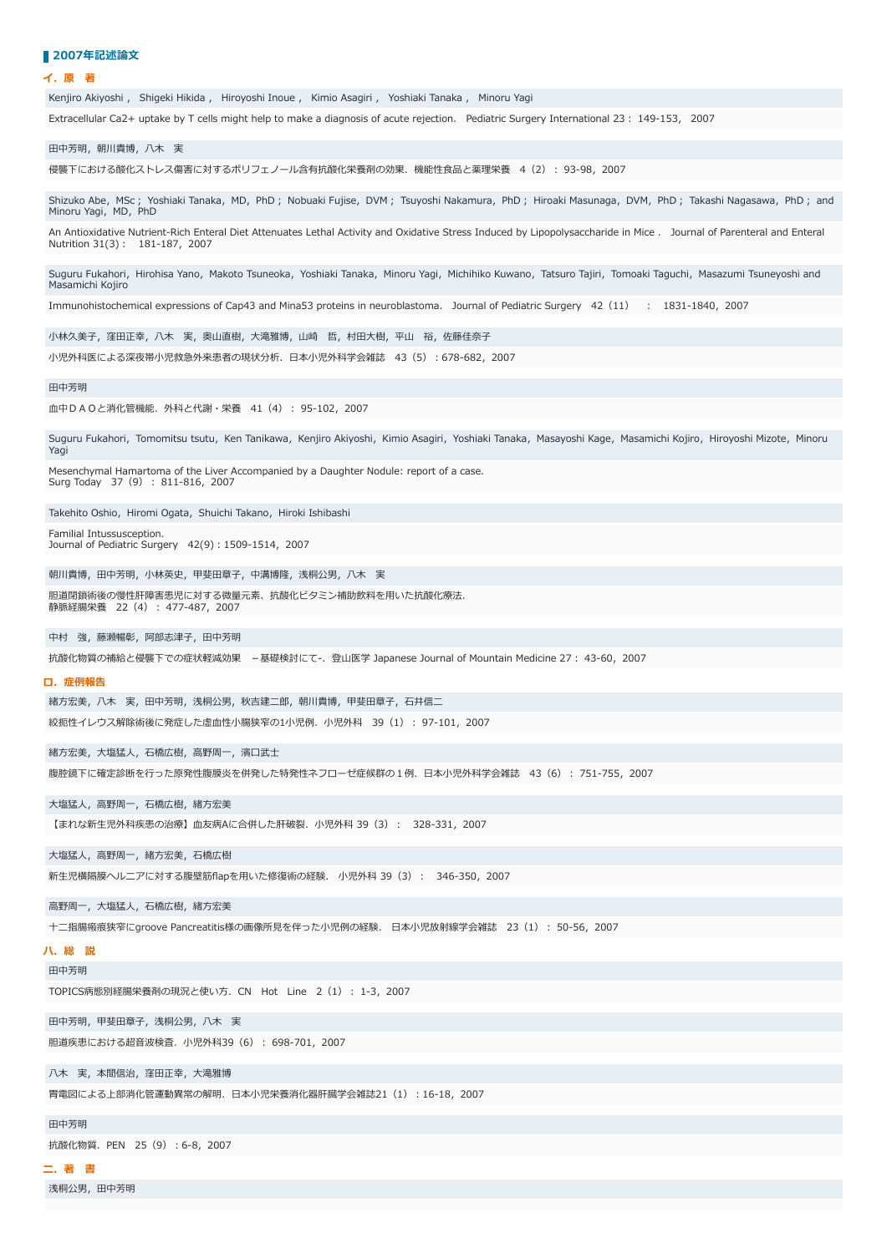### ■ 2007年記述論文

**イ.原 著**

Kenjiro Akiyoshi , Shigeki Hikida , Hiroyoshi Inoue , Kimio Asagiri , Yoshiaki Tanaka , Minoru Yagi

Extracellular Ca2+ uptake by T cells might help to make a diagnosis of acute rejection. Pediatric Surgery International 23 : 149-153, 2007

田中芳明, 朝川貴博, 八木 実

侵襲下における酸化ストレス傷害に対するポリフェノール含有抗酸化栄養剤の効果. 機能性食品と薬理栄養 4 (2) : 93-98, 2007

Shizuko Abe, MSc; Yoshiaki Tanaka, MD, PhD; Nobuaki Fujise, DVM; Tsuyoshi Nakamura, PhD; Hiroaki Masunaga, DVM, PhD; Takashi Nagasawa, PhD; and Minoru Yagi, MD, PhD

An Antioxidative Nutrient-Rich Enteral Diet Attenuates Lethal Activity and Oxidative Stress Induced by Lipopolysaccharide in Mice . Journal of Parenteral and Enteral Nutrition 31(3): 181-187, 2007

Suguru Fukahori, Hirohisa Yano, Makoto Tsuneoka, Yoshiaki Tanaka, Minoru Yagi, Michihiko Kuwano, Tatsuro Tajiri, Tomoaki Taguchi, Masazumi Tsuneyoshi and Masamichi Kojiro

Immunohistochemical expressions of Cap43 and Mina53 proteins in neuroblastoma. Journal of Pediatric Surgery 42 (11) : 1831-1840, 2007

小林久美子,窪田正幸, 八木 実, 奥山直樹, 大滝雅博, 山崎 哲, 村田大樹, 平山 裕, 佐藤佳奈子

小児外科医による深夜帯小児救急外来患者の現状分析. 日本小児外科学会雑誌 43 (5) : 678-682, 2007

### 田中芳明

血中DAOと消化管機能. 外科と代謝・栄養 41 (4): 95-102, 2007

Suguru Fukahori, Tomomitsu tsutu, Ken Tanikawa, Kenjiro Akiyoshi, Kimio Asagiri, Yoshiaki Tanaka, Masayoshi Kage, Masamichi Kojiro, Hiroyoshi Mizote, Minoru Yagi

Mesenchymal Hamartoma of the Liver Accompanied by a Daughter Nodule: report of a case. Surg Today 37 (9) : 811-816, 2007

Takehito Oshio, Hiromi Ogata, Shuichi Takano, Hiroki Ishibashi

Familial Intussusception. Journal of Pediatric Surgery 42(9): 1509-1514, 2007

朝川貴博, 田中芳明, 小林英史, 甲斐田章子, 中溝博隆, 浅桐公男, 八木 実

胆道閉鎖術後の慢性肝障害患児に対する微量元素、抗酸化ビタミン補助飲料を用いた抗酸化療法. **静脈経腸栄養** 22 (4) : 477-487, 2007

中村 強,藤瀬暢彰,阿部志津子,田中芳明

抗酸化物質の補給と侵襲下での症状軽減効果 –基礎検討にて-. 登山医学 Japanese Journal of Mountain Medicine 27: 43-60, 2007

### **ロ.症例報告**

緒方宏美, 八木 実, 田中芳明, 浅桐公男, 秋吉建二郎, 朝川貴博, 甲斐田章子, 石井信二 絞扼性イレウス解除術後に発症した虚⾎性⼩腸狭窄の1⼩児例.⼩児外科 39(1)︓ 97-101,2007

緒方宏美, 大塩猛人, 石橋広樹, 高野周一, 濱口武士

腹腔鏡下に確定診断を行った原発性腹膜炎を併発した特発性ネフローゼ症候群の1例. 日本小児外科学会雑誌 43 (6) : 751-755, 2007

大塩猛人, 高野周一, 石橋広樹, 緒方宏美

【まれな新生児外科疾患の治療】血友病Aに合併した肝破裂. 小児外科 39 (3) : 328-331, 2007

大塩猛人, 高野周一, 緒方宏美, 石橋広樹

新生児横隔膜ヘルニアに対する腹壁筋flapを用いた修復術の経験. 小児外科 39 (3): 346-350, 2007

高野周一, 大塩猛人, 石橋広樹, 緒方宏美

十二指腸瘢痕狭窄にgroove Pancreatitis様の画像所見を伴った小児例の経験. 日本小児放射線学会雑誌 23 (1) : 50-56, 2007

# **ハ.総 説**

田中芳明

TOPICS病態別経腸栄養剤の現況と使い方. CN Hot Line 2 (1) : 1-3, 2007

田中芳明,甲斐田章子,浅桐公男,八木 実

胆道疾患における超⾳波検査.⼩児外科39(6)︓ 698-701,2007

八木 実,本間信治,窪田正幸,大滝雅博

胃電図による上部消化管運動異常の解明.⽇本⼩児栄養消化器肝臓学会雑誌21(1)︓16-18,2007

田中芳明

抗酸化物質. PEN 25 (9) : 6-8, 2007

**ニ.著 書**

浅桐公里, 用中若服